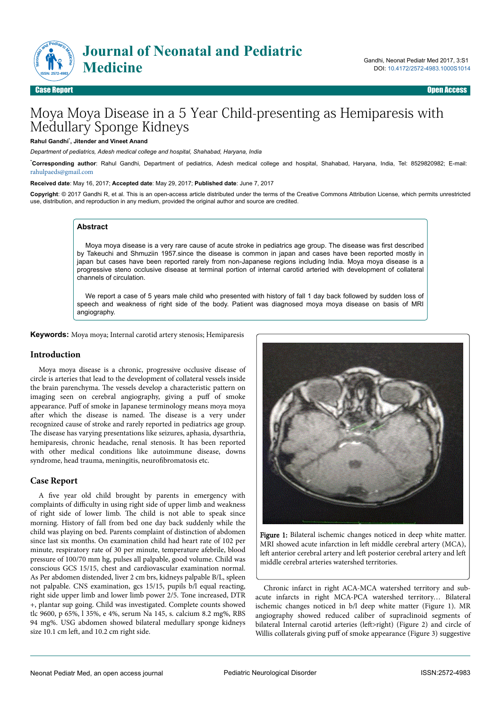

# Moya Moya Disease in a 5 Year Child-presenting as Hemiparesis with Medullary Sponge Kidneys

#### **Rahul Gandhi**\* **, Jitender and Vineet Anand**

*Department of pediatrics, Adesh medical college and hospital, Shahabad, Haryana, India*

\***Corresponding author**: Rahul Gandhi, Department of pediatrics, Adesh medical college and hospital, Shahabad, Haryana, India, Tel: 8529820982; E-mail: [rahulpaeds@gmail.com](mailto:rahulpaeds@gmail.com)

#### **Received date**: May 16, 2017; **Accepted date**: May 29, 2017; **Published date**: June 7, 2017

**Copyright**: © 2017 Gandhi R, et al. This is an open-access article distributed under the terms of the Creative Commons Attribution License, which permits unrestricted use, distribution, and reproduction in any medium, provided the original author and source are credited.

### **Abstract**

Moya moya disease is a very rare cause of acute stroke in pediatrics age group. The disease was first described by Takeuchi and Shmuziin 1957.since the disease is common in japan and cases have been reported mostly in japan but cases have been reported rarely from non-Japanese regions including India. Moya moya disease is a progressive steno occlusive disease at terminal portion of internal carotid arteried with development of collateral channels of circulation.

We report a case of 5 years male child who presented with history of fall 1 day back followed by sudden loss of speech and weakness of right side of the body. Patient was diagnosed moya moya disease on basis of MRI angiography.

**Keywords:** Moya moya; Internal carotid artery stenosis; Hemiparesis

### **Introduction**

Moya moya disease is a chronic, progressive occlusive disease of circle is arteries that lead to the development of collateral vessels inside the brain parenchyma. Нe vessels develop a characteristic pattern on imaging seen on cerebral angiography, giving a puff of smoke appearance. Puff of smoke in Japanese terminology means moya moya after which the disease is named. The disease is a very under recognized cause of stroke and rarely reported in pediatrics age group. The disease has varying presentations like seizures, aphasia, dysarthria, hemiparesis, chronic headache, renal stenosis. It has been reported with other medical conditions like autoimmune disease, downs syndrome, head trauma, meningitis, neurofibromatosis etc.

## **Case Report**

A five year old child brought by parents in emergency with complaints of difficulty in using right side of upper limb and weakness of right side of lower limb. Нe child is not able to speak since morning. History of fall from bed one day back suddenly while the child was playing on bed. Parents complaint of distinction of abdomen since last six months. On examination child had heart rate of 102 per minute, respiratory rate of 30 per minute, temperature afebrile, blood pressure of 100/70 mm hg, pulses all palpable, good volume. Child was conscious GCS 15/15, chest and cardiovascular examination normal. As Per abdomen distended, liver 2 cm brs, kidneys palpable B/L, spleen not palpable. CNS examination, gcs 15/15, pupils b/l equal reacting, right side upper limb and lower limb power 2/5. Tone increased, DTR +, plantar sup going. Child was investigated. Complete counts showed tlc 9600, p 65%, l 35%, e 4%, serum Na 145, s. calcium 8.2 mg%, RBS 94 mg%. USG abdomen showed bilateral medullary sponge kidneys size 10.1 cm left, and 10.2 cm right side.



Figure 1: Bilateral ischemic changes noticed in deep white matter. MRI showed acute infarction in left middle cerebral artery (MCA), left anterior cerebral artery and left posterior cerebral artery and left middle cerebral arteries watershed territories.

Chronic infarct in right ACA-MCA watershed territory and subacute infarcts in right MCA-PCA watershed territory… Bilateral ischemic changes noticed in b/l deep white matter (Figure 1). MR angiography showed reduced caliber of supraclinoid segments of bilateral Internal carotid arteries (left>right) (Figure 2) and circle of Willis collaterals giving puff of smoke appearance (Figure 3) suggestive